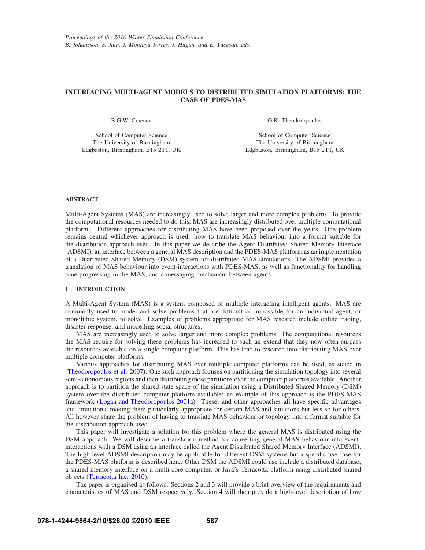# **INTERFACING MULTI-AGENT MODELS TO DISTRIBUTED SIMULATION PLATFORMS: THE CASE OF PDES-MAS**

B.G.W. Craenen

School of Computer Science The University of Birmingham Edgbaston, Birmingham, B15 2TT, UK G.K. Theodoropoulos

School of Computer Science The University of Birmingham Edgbaston, Birmingham, B15 2TT, UK

## **ABSTRACT**

Multi-Agent Systems (MAS) are increasingly used to solve larger and more complex problems. To provide the computational resources needed to do this, MAS are increasingly distributed over multiple computational platforms. Different approaches for distributing MAS have been proposed over the years. One problem remains central whichever approach is used: how to translate MAS behaviour into a format suitable for the distribution approach used. In this paper we describe the Agent Distributed Shared Memory Interface (ADSMI), an interface between a general MAS description and the PDES-MAS platform as an implementation of a Distributed Shared Memory (DSM) system for distributed MAS simulations. The ADSMI provides a translation of MAS behaviour into event-interactions with PDES-MAS, as well as functionality for handling time progressing in the MAS, and a messaging mechanism between agents.

## **1 INTRODUCTION**

A Multi-Agent System (MAS) is a system composed of multiple interacting intelligent agents. MAS are commonly used to model and solve problems that are difficult or impossible for an individual agent, or monolithic system, to solve. Examples of problems appropriate for MAS research include online trading, disaster response, and modelling social structures.

MAS are increasingly used to solve larger and more complex problems. The computational resources the MAS require for solving these problems has increased to such an extend that they now often surpass the resources available on a single computer platform. This has lead to research into distributing MAS over multiple computer platforms.

Various approaches for distributing MAS over multiple computer platforms can be used, as stated in (Theodoropoulos et al. 2007). One such approach focuses on partitioning the simulation topology into several semi-autonomous regions and then distributing these partitions over the computer platforms available. Another approach is to partition the shared state space of the simulation using a Distributed Shared Memory (DSM) system over the distributed computer platform available; an example of this approach is the PDES-MAS framework (Logan and Theodoropoulos 2001a). These, and other approaches all have specific advantages and limitations, making them particularly appropriate for certain MAS and situations but less so for others. All however share the problem of having to translate MAS behaviour or topology into a format suitable for the distribution approach used.

This paper will investigate a solution for this problem where the general MAS is distributed using the DSM approach. We will describe a translation method for converting general MAS behaviour into eventinteractions with a DSM using an interface called the Agent Distributed Shared Memory Interface (ADSMI). The high-level ADSMI description may be applicable for different DSM systems but a specific use-case for the PDES-MAS platform is described here. Other DSM the ADSMI could use include a distributed database, a shared memory interface on a multi-core computer, or Java's Terracotta platform using distributed shared objects (Terracotta Inc. 2010).

The paper is organised as follows. Sections 2 and 3 will provide a brief overview of the requirements and characteristics of MAS and DSM respectively. Section 4 will then provide a high-level description of how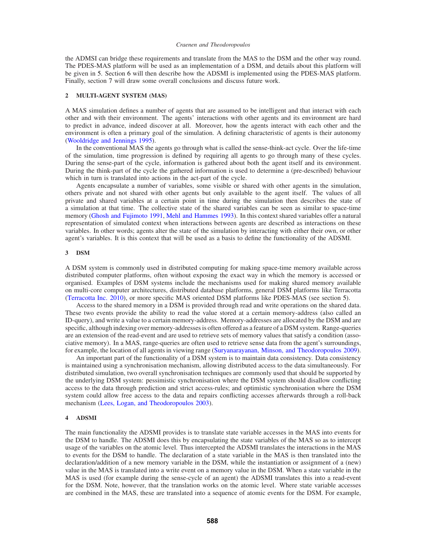the ADMSI can bridge these requirements and translate from the MAS to the DSM and the other way round. The PDES-MAS platform will be used as an implementation of a DSM, and details about this platform will be given in 5. Section 6 will then describe how the ADSMI is implemented using the PDES-MAS platform. Finally, section 7 will draw some overall conclusions and discuss future work.

## **2 MULTI-AGENT SYSTEM (MAS)**

A MAS simulation defines a number of agents that are assumed to be intelligent and that interact with each other and with their environment. The agents' interactions with other agents and its environment are hard to predict in advance, indeed discover at all. Moreover, how the agents interact with each other and the environment is often a primary goal of the simulation. A defining characteristic of agents is their autonomy (Wooldridge and Jennings 1995).

In the conventional MAS the agents go through what is called the sense-think-act cycle. Over the life-time of the simulation, time progression is defined by requiring all agents to go through many of these cycles. During the sense-part of the cycle, information is gathered about both the agent itself and its environment. During the think-part of the cycle the gathered information is used to determine a (pre-described) behaviour which in turn is translated into actions in the act-part of the cycle.

Agents encapsulate a number of variables, some visible or shared with other agents in the simulation, others private and not shared with other agents but only available to the agent itself. The values of all private and shared variables at a certain point in time during the simulation then describes the state of a simulation at that time. The collective state of the shared variables can be seen as similar to space-time memory (Ghosh and Fujimoto 1991, Mehl and Hammes 1993). In this context shared variables offer a natural representation of simulated context when interactions between agents are described as interactions on these variables. In other words; agents alter the state of the simulation by interacting with either their own, or other agent's variables. It is this context that will be used as a basis to define the functionality of the ADSMI.

## **3 DSM**

A DSM system is commonly used in distributed computing for making space-time memory available across distributed computer platforms, often without exposing the exact way in which the memory is accessed or organised. Examples of DSM systems include the mechanisms used for making shared memory available on multi-core computer architectures, distributed database platforms, general DSM platforms like Terracotta (Terracotta Inc. 2010), or more specific MAS oriented DSM platforms like PDES-MAS (see section 5).

Access to the shared memory in a DSM is provided through read and write operations on the shared data. These two events provide the ability to read the value stored at a certain memory-address (also called an ID-query), and write a value to a certain memory-address. Memory-addresses are allocated by the DSM and are specific, although indexing over memory-addresses is often offered as a feature of a DSM system. Range-queries are an extension of the read-event and are used to retrieve sets of memory values that satisfy a condition (associative memory). In a MAS, range-queries are often used to retrieve sense data from the agent's surroundings, for example, the location of all agents in viewing range (Suryanarayanan, Minson, and Theodoropoulos 2009).

An important part of the functionality of a DSM system is to maintain data consistency. Data consistency is maintained using a synchronisation mechanism, allowing distributed access to the data simultaneously. For distributed simulation, two overall synchronisation techniques are commonly used that should be supported by the underlying DSM system: pessimistic synchronisation where the DSM system should disallow conflicting access to the data through prediction and strict access-rules; and optimistic synchronisation where the DSM system could allow free access to the data and repairs conflicting accesses afterwards through a roll-back mechanism (Lees, Logan, and Theodoropoulos 2003).

#### **4 ADSMI**

The main functionality the ADSMI provides is to translate state variable accesses in the MAS into events for the DSM to handle. The ADSMI does this by encapsulating the state variables of the MAS so as to intercept usage of the variables on the atomic level. Thus intercepted the ADSMI translates the interactions in the MAS to events for the DSM to handle. The declaration of a state variable in the MAS is then translated into the declaration/addition of a new memory variable in the DSM, while the instantiation or assignment of a (new) value in the MAS is translated into a write event on a memory value in the DSM. When a state variable in the MAS is used (for example during the sense-cycle of an agent) the ADSMI translates this into a read-event for the DSM. Note, however, that the translation works on the atomic level. Where state variable accesses are combined in the MAS, these are translated into a sequence of atomic events for the DSM. For example,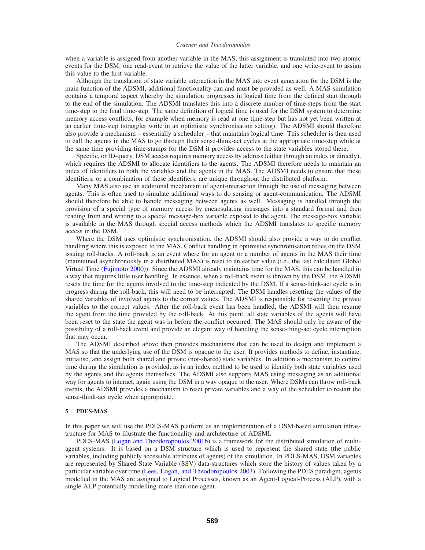when a variable is assigned from another variable in the MAS, this assignment is translated into two atomic events for the DSM: one read-event to retrieve the value of the latter variable, and one write-event to assign this value to the first variable.

Although the translation of state variable interaction in the MAS into event generation for the DSM is the main function of the ADSMI, additional functionality can and must be provided as well. A MAS simulation contains a temporal aspect whereby the simulation progresses in logical time from the defined start through to the end of the simulation. The ADSMI translates this into a discrete number of time-steps from the start time-step to the final time-step. The same definition of logical time is used for the DSM system to determine memory access conflicts, for example when memory is read at one time-step but has not yet been written at an earlier time-step (straggler write in an optimistic synchronisation setting). The ADSMI should therefore also provide a mechanism – essentially a scheduler – that maintains logical time. This scheduler is then used to call the agents in the MAS to go through their sense-think-act cycles at the appropriate time-step while at the same time providing time-stamps for the DSM it provides access to the state variables stored there.

Specific, or ID-query, DSM access requires memory access by address (either through an index or directly), which requires the ADSMI to allocate identifiers to the agents. The ADSMI therefore needs to maintain an index of identifiers to both the variables and the agents in the MAS. The ADSMI needs to ensure that these identifiers, or a combination of these identifiers, are unique throughout the distributed platform.

Many MAS also use an additional mechanism of agent-interaction through the use of messaging between agents. This is often used to simulate additional ways to do sensing or agent-communication. The ADSMI should therefore be able to handle messaging between agents as well. Messaging is handled through the provision of a special type of memory access by encapsulating messages into a standard format and then reading from and writing to a special message-box variable exposed to the agent. The message-box variable is available in the MAS through special access methods which the ADSMI translates to specific memory access in the DSM.

Where the DSM uses optimistic synchronisation, the ADSMI should also provide a way to do conflict handling where this is exposed to the MAS. Conflict handling in optimistic synchronisation relies on the DSM issuing roll-backs. A roll-back is an event where for an agent or a number of agents in the MAS their time (maintained asynchronously in a distributed MAS) is reset to an earlier value (i.e., the last calculated Global Virtual Time (Fujimoto 2000)). Since the ADSMI already maintains time for the MAS, this can be handled in a way that requires little user handling. In essence, when a roll-back event is thrown by the DSM, the ADSMI resets the time for the agents involved to the time-step indicated by the DSM. If a sense-think-act cycle is in progress during the roll-back, this will need to be interrupted. The DSM handles resetting the values of the shared variables of involved agents to the correct values. The ADSMI is responsible for resetting the private variables to the correct values. After the roll-back event has been handled, the ADSMI will then resume the agent from the time provided by the roll-back. At this point, all state variables of the agents will have been reset to the state the agent was in before the conflict occurred. The MAS should only be aware of the possibility of a roll-back event and provide an elegant way of handling the sense-thing-act cycle interruption that may occur.

The ADSMI described above then provides mechanisms that can be used to design and implement a MAS so that the underlying use of the DSM is opaque to the user. It provides methods to define, instantiate, initialise, and assign both shared and private (not-shared) state variables. In addition a mechanism to control time during the simulation is provided, as is an index method to be used to identify both state variables used by the agents and the agents themselves. The ADSMI also supports MAS using messaging as an additional way for agents to interact, again using the DSM in a way opaque to the user. Where DSMs can throw roll-back events, the ADSMI provides a mechanism to reset private variables and a way of the scheduler to restart the sense-think-act cycle when appropriate.

### **5 PDES-MAS**

In this paper we will use the PDES-MAS platform as an implementation of a DSM-based simulation infrastructure for MAS to illustrate the functionality and architecture of ADSMI.

PDES-MAS (Logan and Theodoropoulos 2001b) is a framework for the distributed simulation of multiagent systems. It is based on a DSM structure which is used to represent the shared state (the public variables, including publicly accessible attributes of agents) of the simulation. In PDES-MAS, DSM variables are represented by Shared-State Variable (SSV) data-structures which store the history of values taken by a particular variable over time (Lees, Logan, and Theodoropoulos 2003). Following the PDES paradigm, agents modelled in the MAS are assigned to Logical Processes, known as an Agent-Logical-Process (ALP), with a single ALP potentially modelling more than one agent.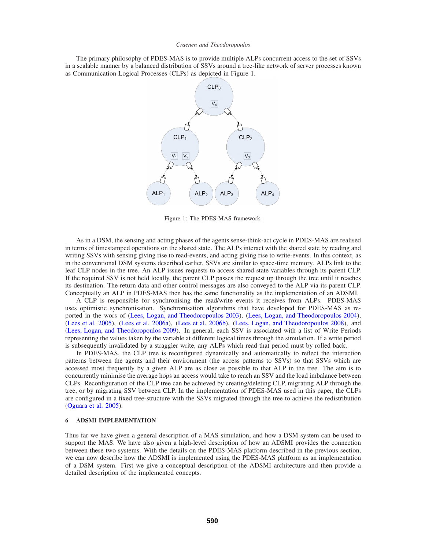The primary philosophy of PDES-MAS is to provide multiple ALPs concurrent access to the set of SSVs in a scalable manner by a balanced distribution of SSVs around a tree-like network of server processes known as Communication Logical Processes (CLPs) as depicted in Figure 1.



Figure 1: The PDES-MAS framework.

As in a DSM, the sensing and acting phases of the agents sense-think-act cycle in PDES-MAS are realised in terms of timestamped operations on the shared state. The ALPs interact with the shared state by reading and writing SSVs with sensing giving rise to read-events, and acting giving rise to write-events. In this context, as in the conventional DSM systems described earlier, SSVs are similar to space-time memory. ALPs link to the leaf CLP nodes in the tree. An ALP issues requests to access shared state variables through its parent CLP. If the required SSV is not held locally, the parent CLP passes the request up through the tree until it reaches its destination. The return data and other control messages are also conveyed to the ALP via its parent CLP. Conceptually an ALP in PDES-MAS then has the same functionality as the implementation of an ADSMI.

A CLP is responsible for synchronising the read/write events it receives from ALPs. PDES-MAS uses optimistic synchronisation. Synchronisation algorithms that have developed for PDES-MAS as reported in the wors of (Lees, Logan, and Theodoropoulos 2003), (Lees, Logan, and Theodoropoulos 2004), (Lees et al. 2005), (Lees et al. 2006a), (Lees et al. 2006b), (Lees, Logan, and Theodoropoulos 2008), and (Lees, Logan, and Theodoropoulos 2009). In general, each SSV is associated with a list of Write Periods representing the values taken by the variable at different logical times through the simulation. If a write period is subsequently invalidated by a straggler write, any ALPs which read that period must by rolled back.

In PDES-MAS, the CLP tree is reconfigured dynamically and automatically to reflect the interaction patterns between the agents and their environment (the access patterns to SSVs) so that SSVs which are accessed most frequently by a given ALP are as close as possible to that ALP in the tree. The aim is to concurrently minimise the average hops an access would take to reach an SSV and the load imbalance between CLPs. Reconfiguration of the CLP tree can be achieved by creating/deleting CLP, migrating ALP through the tree, or by migrating SSV between CLP. In the implementation of PDES-MAS used in this paper, the CLPs are configured in a fixed tree-structure with the SSVs migrated through the tree to achieve the redistribution (Oguara et al. 2005).

### **6 ADSMI IMPLEMENTATION**

Thus far we have given a general description of a MAS simulation, and how a DSM system can be used to support the MAS. We have also given a high-level description of how an ADSMI provides the connection between these two systems. With the details on the PDES-MAS platform described in the previous section, we can now describe how the ADSMI is implemented using the PDES-MAS platform as an implementation of a DSM system. First we give a conceptual description of the ADSMI architecture and then provide a detailed description of the implemented concepts.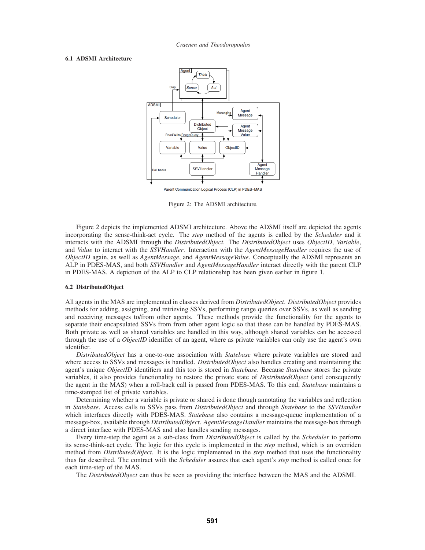#### **6.1 ADSMI Architecture**



Parent Communication Logical Process (CLP) in PDES-MAS

Figure 2: The ADSMI architecture.

Figure 2 depicts the implemented ADSMI architecture. Above the ADSMI itself are depicted the agents incorporating the sense-think-act cycle. The *step* method of the agents is called by the *Scheduler* and it interacts with the ADSMI through the *DistributedObject*. The *DistributedObject* uses *ObjectID*, *Variable*, and *Value* to interact with the *SSVHandler*. Interaction with the *AgentMessageHandler* requires the use of *ObjectID* again, as well as *AgentMessage*, and *AgentMessageValue*. Conceptually the ADSMI represents an ALP in PDES-MAS, and both *SSVHandler* and *AgentMessageHandler* interact directly with the parent CLP in PDES-MAS. A depiction of the ALP to CLP relationship has been given earlier in figure 1.

#### **6.2 DistributedObject**

All agents in the MAS are implemented in classes derived from *DistributedObject*. *DistributedObject* provides methods for adding, assigning, and retrieving SSVs, performing range queries over SSVs, as well as sending and receiving messages to/from other agents. These methods provide the functionality for the agents to separate their encapsulated SSVs from from other agent logic so that these can be handled by PDES-MAS. Both private as well as shared variables are handled in this way, although shared variables can be accessed through the use of a *ObjectID* identifier of an agent, where as private variables can only use the agent's own identifier.

*DistributedObject* has a one-to-one association with *Statebase* where private variables are stored and where access to SSVs and messages is handled. *DistributedObject* also handles creating and maintaining the agent's unique *ObjectID* identifiers and this too is stored in *Statebase*. Because *Statebase* stores the private variables, it also provides functionality to restore the private state of *DistributedObject* (and consequently the agent in the MAS) when a roll-back call is passed from PDES-MAS. To this end, *Statebase* maintains a time-stamped list of private variables.

Determining whether a variable is private or shared is done though annotating the variables and reflection in *Statebase*. Access calls to SSVs pass from *DistributedObject* and through *Statebase* to the *SSVHandler* which interfaces directly with PDES-MAS. *Statebase* also contains a message-queue implementation of a message-box, available through *DistributedObject*. *AgentMessageHandler* maintains the message-box through a direct interface with PDES-MAS and also handles sending messages.

Every time-step the agent as a sub-class from *DistributedObject* is called by the *Scheduler* to perform its sense-think-act cycle. The logic for this cycle is implemented in the *step* method, which is an overriden method from *DistributedObject*. It is the logic implemented in the *step* method that uses the functionality thus far described. The contract with the *Scheduler* assures that each agent's *step* method is called once for each time-step of the MAS.

The *DistributedObject* can thus be seen as providing the interface between the MAS and the ADSMI.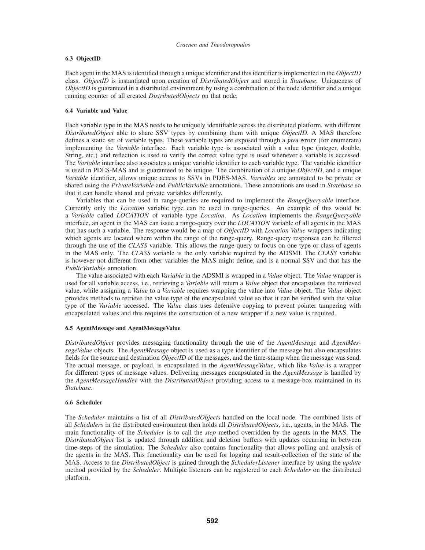## **6.3 ObjectID**

Each agent in the MAS is identified through a unique identifier and this identifier is implemented in the *ObjectID* class. *ObjectID* is instantiated upon creation of *DistributedObject* and stored in *Statebase*. Uniqueness of *ObjectID* is guaranteed in a distributed environment by using a combination of the node identifier and a unique running counter of all created *DistributedObjects* on that node.

## **6.4 Variable and Value**

Each variable type in the MAS needs to be uniquely identifiable across the distributed platform, with different *DistributedObject* able to share SSV types by combining them with unique *ObjectID*. A MAS therefore defines a static set of variable types. These variable types are exposed through a java enum (for enumerate) implementing the *Variable* interface. Each variable type is associated with a value type (integer, double, String, etc.) and reflection is used to verify the correct value type is used whenever a variable is accessed. The *Variable* interface also associates a unique variable identifier to each variable type. The variable identifier is used in PDES-MAS and is guaranteed to be unique. The combination of a unique *ObjectID*, and a unique *Variable* identifier, allows unique access to SSVs in PDES-MAS. *Variables* are annotated to be private or shared using the *PrivateVariable* and *PublicVariable* annotations. These annotations are used in *Statebase* so that it can handle shared and private variables differently.

Variables that can be used in range-queries are required to implement the *RangeQueryable* interface. Currently only the *Location* variable type can be used in range-queries. An example of this would be a *Variable* called *LOCATION* of variable type *Location*. As *Location* implements the *RangeQueryable* interface, an agent in the MAS can issue a range-query over the *LOCATION* variable of all agents in the MAS that has such a variable. The response would be a map of *ObjectID* with *Location Value* wrappers indicating which agents are located where within the range of the range-query. Range-query responses can be filtered through the use of the *CLASS* variable. This allows the range-query to focus on one type or class of agents in the MAS only. The *CLASS* variable is the only variable required by the ADSMI. The *CLASS* variable is however not different from other variables the MAS might define, and is a normal SSV and that has the *PublicVariable* annotation.

The value associated with each *Variable* in the ADSMI is wrapped in a *Value* object. The *Value* wrapper is used for all variable access, i.e., retrieving a *Variable* will return a *Value* object that encapsulates the retrieved value, while assigning a *Value* to a *Variable* requires wrapping the value into *Value* object. The *Value* object provides methods to retrieve the value type of the encapsulated value so that it can be verified with the value type of the *Variable* accessed. The *Value* class uses defensive copying to prevent pointer tampering with encapsulated values and this requires the construction of a new wrapper if a new value is required.

## **6.5 AgentMessage and AgentMessageValue**

*DistributedObject* provides messaging functionality through the use of the *AgentMessage* and *AgentMessageValue* objects. The *AgentMessage* object is used as a type identifier of the message but also encapsulates fields for the source and destination *ObjectID* of the messages, and the time-stamp when the message was send. The actual message, or payload, is encapsulated in the *AgentMessageValue*, which like *Value* is a wrapper for different types of message values. Delivering messages encapsulated in the *AgentMessage* is handled by the *AgentMessageHandler* with the *DistributedObject* providing access to a message-box maintained in its *Statebase*.

## **6.6 Scheduler**

The *Scheduler* maintains a list of all *DistributedObjects* handled on the local node. The combined lists of all *Schedulers* in the distributed environment then holds all *DistributedObjects*, i.e., agents, in the MAS. The main functionality of the *Scheduler* is to call the *step* method overridden by the agents in the MAS. The *DistributedObject* list is updated through addition and deletion buffers with updates occurring in between time-steps of the simulation. The *Scheduler* also contains functionality that allows polling and analysis of the agents in the MAS. This functionality can be used for logging and result-collection of the state of the MAS. Access to the *DistributedObject* is gained through the *SchedulerListener* interface by using the *update* method provided by the *Scheduler*. Multiple listeners can be registered to each *Scheduler* on the distributed platform.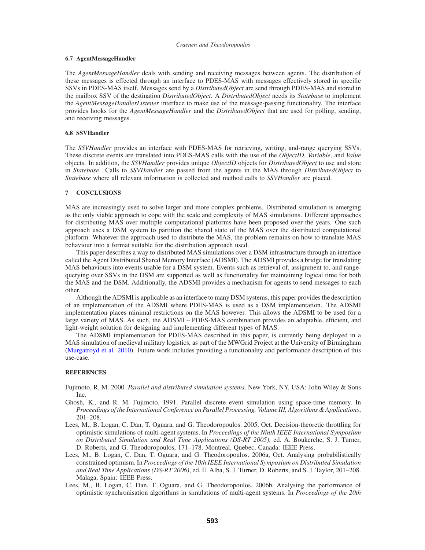### **6.7 AgentMessageHandler**

The *AgentMessageHandler* deals with sending and receiving messages between agents. The distribution of these messages is effected through an interface to PDES-MAS with messages effectively stored in specific SSVs in PDES-MAS itself. Messages send by a *DistributedObject* are send through PDES-MAS and stored in the mailbox SSV of the destination *DistributedObject*. A *DistributedObject* needs its *Statebase* to implement the *AgentMessageHandlerListener* interface to make use of the message-passing functionality. The interface provides hooks for the *AgentMessageHandler* and the *DistributedObject* that are used for polling, sending, and receiving messages.

## **6.8 SSVHandler**

The *SSVHandler* provides an interface with PDES-MAS for retrieving, writing, and-range querying SSVs. These discrete events are translated into PDES-MAS calls with the use of the *ObjectID*, *Variable*, and *Value* objects. In addition, the *SSVHandler* provides unique *ObjectID* objects for *DistributedObject* to use and store in *Statebase*. Calls to *SSVHandler* are passed from the agents in the MAS through *DistributedObject* to *Statebase* where all relevant information is collected and method calls to *SSVHandler* are placed.

### **7 CONCLUSIONS**

MAS are increasingly used to solve larger and more complex problems. Distributed simulation is emerging as the only viable approach to cope with the scale and complexity of MAS simulations. Different approaches for distributing MAS over multiple computational platforms have been proposed over the years. One such approach uses a DSM system to partition the shared state of the MAS over the distributed computational platform. Whatever the approach used to distribute the MAS, the problem remains on how to translate MAS behaviour into a format suitable for the distribution approach used.

This paper describes a way to distributed MAS simulations over a DSM infrastructure through an interface called the Agent Distributed Shared Memory Interface (ADSMI). The ADSMI provides a bridge for translating MAS behaviours into events usable for a DSM system. Events such as retrieval of, assignment to, and rangequerying over SSVs in the DSM are supported as well as functionality for maintaining logical time for both the MAS and the DSM. Additionally, the ADSMI provides a mechanism for agents to send messages to each other.

Although the ADSMI is applicable as an interface to many DSM systems, this paper provides the description of an implementation of the ADSMI where PDES-MAS is used as a DSM implementation. The ADSMI implementation places minimal restrictions on the MAS however. This allows the ADSMI to be used for a large variety of MAS. As such, the ADSMI – PDES-MAS combination provides an adaptable, efficient, and light-weight solution for designing and implementing different types of MAS.

The ADSMI implementation for PDES-MAS described in this paper, is currently being deployed in a MAS simulation of medieval military logistics, as part of the MWGrid Project at the University of Birmingham (Murgatroyd et al. 2010). Future work includes providing a functionality and performance description of this use-case.

## **REFERENCES**

- Fujimoto, R. M. 2000. *Parallel and distributed simulation systems*. New York, NY, USA: John Wiley & Sons Inc.
- Ghosh, K., and R. M. Fujimoto. 1991. Parallel discrete event simulation using space-time memory. In *Proceedings of the International Conference on Parallel Processing, Volume III, Algorithms & Applications*, 201–208.
- Lees, M., B. Logan, C. Dan, T. Oguara, and G. Theodoropoulos. 2005, Oct. Decision-theoretic throttling for optimistic simulations of multi-agent systems. In *Proceedings of the Ninth IEEE International Symposium on Distributed Simulation and Real Time Applications (DS-RT 2005)*, ed. A. Boukerche, S. J. Turner, D. Roberts, and G. Theodoropoulos, 171–178. Montreal, Quebec, Canada: IEEE Press.
- Lees, M., B. Logan, C. Dan, T. Oguara, and G. Theodoropoulos. 2006a, Oct. Analysing probabilistically constrained optimism. In *Proceedings of the 10th IEEE International Symposium on Distributed Simulation and Real Time Applications (DS-RT 2006)*, ed. E. Alba, S. J. Turner, D. Roberts, and S. J. Taylor, 201–208. Malaga, Spain: IEEE Press.
- Lees, M., B. Logan, C. Dan, T. Oguara, and G. Theodoropoulos. 2006b. Analysing the performance of optimistic synchronisation algorithms in simulations of multi-agent systems. In *Proceedings of the 20th*